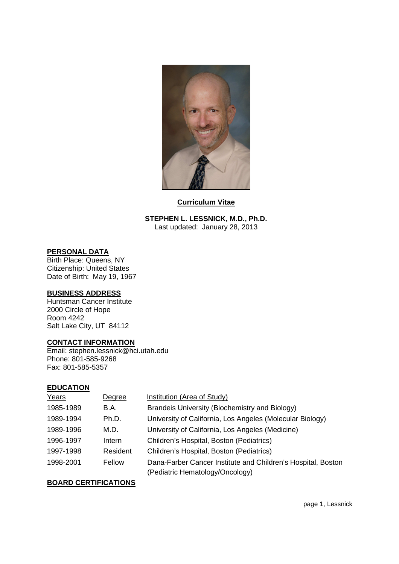

#### **Curriculum Vitae**

**STEPHEN L. LESSNICK, M.D., Ph.D.** Last updated: January 28, 2013

### **PERSONAL DATA**

Birth Place: Queens, NY Citizenship: United States Date of Birth: May 19, 1967

#### **BUSINESS ADDRESS**

Huntsman Cancer Institute 2000 Circle of Hope Room 4242 Salt Lake City, UT 84112

#### **CONTACT INFORMATION**

Email: stephen.lessnick@hci.utah.edu Phone: 801-585-9268 Fax: 801-585-5357

#### **EDUCATION**

| Years     | Degree   | Institution (Area of Study)                                  |
|-----------|----------|--------------------------------------------------------------|
| 1985-1989 | B.A.     | Brandeis University (Biochemistry and Biology)               |
| 1989-1994 | Ph.D.    | University of California, Los Angeles (Molecular Biology)    |
| 1989-1996 | M.D.     | University of California, Los Angeles (Medicine)             |
| 1996-1997 | Intern   | Children's Hospital, Boston (Pediatrics)                     |
| 1997-1998 | Resident | Children's Hospital, Boston (Pediatrics)                     |
| 1998-2001 | Fellow   | Dana-Farber Cancer Institute and Children's Hospital, Boston |
|           |          | (Pediatric Hematology/Oncology)                              |

#### **BOARD CERTIFICATIONS**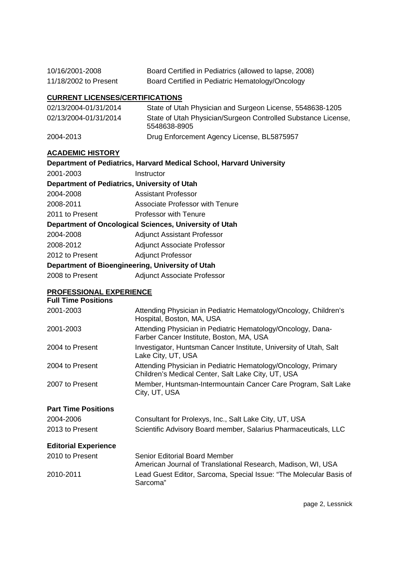| 10/16/2001-2008       | Board Certified in Pediatrics (allowed to lapse, 2008) |
|-----------------------|--------------------------------------------------------|
| 11/18/2002 to Present | Board Certified in Pediatric Hematology/Oncology       |

# **CURRENT LICENSES/CERTIFICATIONS**

| 02/13/2004-01/31/2014 | State of Utah Physician and Surgeon License, 5548638-1205                     |
|-----------------------|-------------------------------------------------------------------------------|
| 02/13/2004-01/31/2014 | State of Utah Physician/Surgeon Controlled Substance License,<br>5548638-8905 |
| 2004-2013             | Drug Enforcement Agency License, BL5875957                                    |

## **ACADEMIC HISTORY**

| Department of Pediatrics, Harvard Medical School, Harvard University |  |  |
|----------------------------------------------------------------------|--|--|
| Instructor                                                           |  |  |
| Department of Pediatrics, University of Utah                         |  |  |
| Assistant Professor                                                  |  |  |
| Associate Professor with Tenure                                      |  |  |
| Professor with Tenure                                                |  |  |
| Department of Oncological Sciences, University of Utah               |  |  |
| <b>Adjunct Assistant Professor</b>                                   |  |  |
| <b>Adjunct Associate Professor</b>                                   |  |  |
| <b>Adjunct Professor</b>                                             |  |  |
| Department of Bioengineering, University of Utah                     |  |  |
| <b>Adjunct Associate Professor</b>                                   |  |  |
|                                                                      |  |  |

#### **PROFESSIONAL EXPERIENCE**

| <b>Full Time Positions</b>  |                                                                                                                     |
|-----------------------------|---------------------------------------------------------------------------------------------------------------------|
| 2001-2003                   | Attending Physician in Pediatric Hematology/Oncology, Children's<br>Hospital, Boston, MA, USA                       |
| 2001-2003                   | Attending Physician in Pediatric Hematology/Oncology, Dana-<br>Farber Cancer Institute, Boston, MA, USA             |
| 2004 to Present             | Investigator, Huntsman Cancer Institute, University of Utah, Salt<br>Lake City, UT, USA                             |
| 2004 to Present             | Attending Physician in Pediatric Hematology/Oncology, Primary<br>Children's Medical Center, Salt Lake City, UT, USA |
| 2007 to Present             | Member, Huntsman-Intermountain Cancer Care Program, Salt Lake<br>City, UT, USA                                      |
| <b>Part Time Positions</b>  |                                                                                                                     |
| 2004-2006                   | Consultant for Prolexys, Inc., Salt Lake City, UT, USA                                                              |
| 2013 to Present             | Scientific Advisory Board member, Salarius Pharmaceuticals, LLC                                                     |
| <b>Editorial Experience</b> |                                                                                                                     |
| 2010 to Present             | Senior Editorial Board Member<br>American Journal of Translational Research, Madison, WI, USA                       |
| 2010-2011                   | Lead Guest Editor, Sarcoma, Special Issue: "The Molecular Basis of<br>Sarcoma"                                      |
|                             |                                                                                                                     |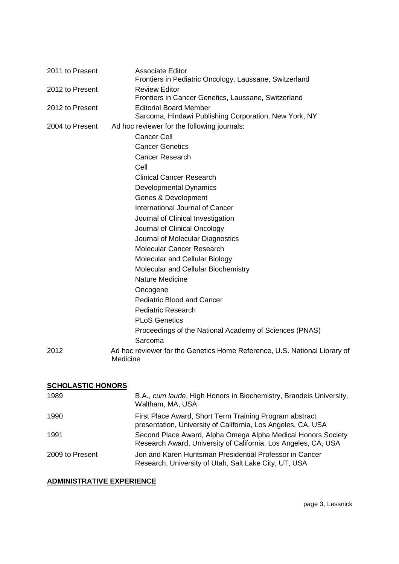| 2011 to Present | <b>Associate Editor</b><br>Frontiers in Pediatric Oncology, Laussane, Switzerland      |
|-----------------|----------------------------------------------------------------------------------------|
| 2012 to Present | <b>Review Editor</b><br>Frontiers in Cancer Genetics, Laussane, Switzerland            |
| 2012 to Present | <b>Editorial Board Member</b><br>Sarcoma, Hindawi Publishing Corporation, New York, NY |
| 2004 to Present | Ad hoc reviewer for the following journals:                                            |
|                 | <b>Cancer Cell</b>                                                                     |
|                 | <b>Cancer Genetics</b>                                                                 |
|                 | <b>Cancer Research</b>                                                                 |
|                 | Cell                                                                                   |
|                 | <b>Clinical Cancer Research</b>                                                        |
|                 | <b>Developmental Dynamics</b>                                                          |
|                 | Genes & Development                                                                    |
|                 | International Journal of Cancer                                                        |
|                 | Journal of Clinical Investigation                                                      |
|                 | Journal of Clinical Oncology                                                           |
|                 | Journal of Molecular Diagnostics                                                       |
|                 | Molecular Cancer Research                                                              |
|                 | Molecular and Cellular Biology                                                         |
|                 | Molecular and Cellular Biochemistry                                                    |
|                 | Nature Medicine                                                                        |
|                 | Oncogene                                                                               |
|                 | <b>Pediatric Blood and Cancer</b>                                                      |
|                 | <b>Pediatric Research</b>                                                              |
|                 | <b>PLoS Genetics</b>                                                                   |
|                 | Proceedings of the National Academy of Sciences (PNAS)                                 |
|                 | Sarcoma                                                                                |
| 2012            | Ad hoc reviewer for the Genetics Home Reference, U.S. National Library of<br>Medicine  |

# **SCHOLASTIC HONORS**

| 1989            | B.A., cum laude, High Honors in Biochemistry, Brandeis University,<br>Waltham, MA, USA                                         |
|-----------------|--------------------------------------------------------------------------------------------------------------------------------|
| 1990            | First Place Award, Short Term Training Program abstract<br>presentation, University of California, Los Angeles, CA, USA        |
| 1991            | Second Place Award, Alpha Omega Alpha Medical Honors Society<br>Research Award, University of California, Los Angeles, CA, USA |
| 2009 to Present | Jon and Karen Huntsman Presidential Professor in Cancer<br>Research, University of Utah, Salt Lake City, UT, USA               |

# **ADMINISTRATIVE EXPERIENCE**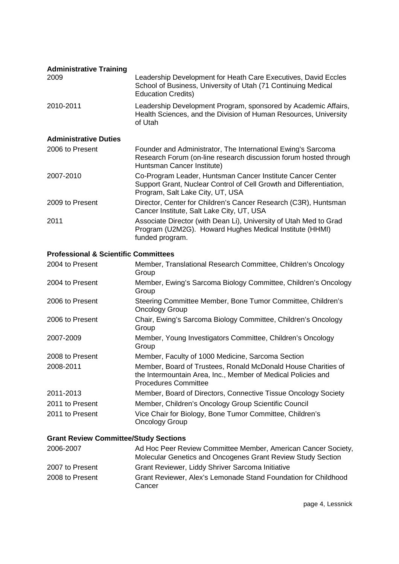| <b>Administrative Training</b>                  |                                                                                                                                                                      |
|-------------------------------------------------|----------------------------------------------------------------------------------------------------------------------------------------------------------------------|
| 2009                                            | Leadership Development for Heath Care Executives, David Eccles<br>School of Business, University of Utah (71 Continuing Medical<br><b>Education Credits)</b>         |
| 2010-2011                                       | Leadership Development Program, sponsored by Academic Affairs,<br>Health Sciences, and the Division of Human Resources, University<br>of Utah                        |
| <b>Administrative Duties</b>                    |                                                                                                                                                                      |
| 2006 to Present                                 | Founder and Administrator, The International Ewing's Sarcoma<br>Research Forum (on-line research discussion forum hosted through<br>Huntsman Cancer Institute)       |
| 2007-2010                                       | Co-Program Leader, Huntsman Cancer Institute Cancer Center<br>Support Grant, Nuclear Control of Cell Growth and Differentiation,<br>Program, Salt Lake City, UT, USA |
| 2009 to Present                                 | Director, Center for Children's Cancer Research (C3R), Huntsman<br>Cancer Institute, Salt Lake City, UT, USA                                                         |
| 2011                                            | Associate Director (with Dean Li), University of Utah Med to Grad<br>Program (U2M2G). Howard Hughes Medical Institute (HHMI)<br>funded program.                      |
| <b>Professional &amp; Scientific Committees</b> |                                                                                                                                                                      |
| 2004 to Present                                 | Member, Translational Research Committee, Children's Oncology<br>Group                                                                                               |
| 2004 to Present                                 | Member, Ewing's Sarcoma Biology Committee, Children's Oncology<br>Group                                                                                              |
| 2006 to Present                                 | Steering Committee Member, Bone Tumor Committee, Children's<br><b>Oncology Group</b>                                                                                 |
| 2006 to Present                                 | Chair, Ewing's Sarcoma Biology Committee, Children's Oncology<br>Group                                                                                               |
| 2007-2009                                       | Member, Young Investigators Committee, Children's Oncology<br>Group                                                                                                  |
| 2008 to Present                                 | Member, Faculty of 1000 Medicine, Sarcoma Section                                                                                                                    |
| 00000044                                        | Mappher Deard of Truckage Depald McDepald House Charities of                                                                                                         |

| 2008-2011       | Member, Board of Trustees, Ronald McDonald House Charities of  |
|-----------------|----------------------------------------------------------------|
|                 | the Intermountain Area, Inc., Member of Medical Policies and   |
|                 | <b>Procedures Committee</b>                                    |
| 2011-2013       | Member, Board of Directors, Connective Tissue Oncology Society |
| 2011 to Present | Member, Children's Oncology Group Scientific Council           |

| 2011 to Present | Vice Chair for Biology, Bone Tumor Committee, Children's |
|-----------------|----------------------------------------------------------|
|                 | <b>Oncology Group</b>                                    |

# **Grant Review Committee/Study Sections**

| 2006-2007       | Ad Hoc Peer Review Committee Member, American Cancer Society,            |
|-----------------|--------------------------------------------------------------------------|
|                 | Molecular Genetics and Oncogenes Grant Review Study Section              |
| 2007 to Present | Grant Reviewer, Liddy Shriver Sarcoma Initiative                         |
| 2008 to Present | Grant Reviewer, Alex's Lemonade Stand Foundation for Childhood<br>Cancer |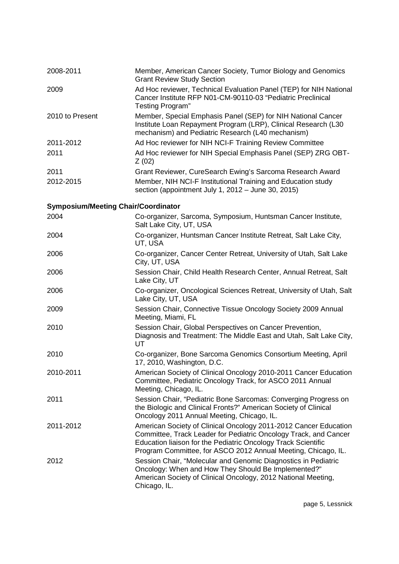| 2008-2011                                  | Member, American Cancer Society, Tumor Biology and Genomics                                                                                                                                                                                                            |
|--------------------------------------------|------------------------------------------------------------------------------------------------------------------------------------------------------------------------------------------------------------------------------------------------------------------------|
|                                            | <b>Grant Review Study Section</b>                                                                                                                                                                                                                                      |
| 2009                                       | Ad Hoc reviewer, Technical Evaluation Panel (TEP) for NIH National<br>Cancer Institute RFP N01-CM-90110-03 "Pediatric Preclinical<br><b>Testing Program"</b>                                                                                                           |
| 2010 to Present                            | Member, Special Emphasis Panel (SEP) for NIH National Cancer<br>Institute Loan Repayment Program (LRP), Clinical Research (L30<br>mechanism) and Pediatric Research (L40 mechanism)                                                                                    |
| 2011-2012                                  | Ad Hoc reviewer for NIH NCI-F Training Review Committee                                                                                                                                                                                                                |
| 2011                                       | Ad Hoc reviewer for NIH Special Emphasis Panel (SEP) ZRG OBT-<br>Z(02)                                                                                                                                                                                                 |
| 2011                                       | Grant Reviewer, CureSearch Ewing's Sarcoma Research Award                                                                                                                                                                                                              |
| 2012-2015                                  | Member, NIH NCI-F Institutional Training and Education study<br>section (appointment July 1, 2012 - June 30, 2015)                                                                                                                                                     |
| <b>Symposium/Meeting Chair/Coordinator</b> |                                                                                                                                                                                                                                                                        |
| 2004                                       | Co-organizer, Sarcoma, Symposium, Huntsman Cancer Institute,<br>Salt Lake City, UT, USA                                                                                                                                                                                |
| 2004                                       | Co-organizer, Huntsman Cancer Institute Retreat, Salt Lake City,<br>UT, USA                                                                                                                                                                                            |
| 2006                                       | Co-organizer, Cancer Center Retreat, University of Utah, Salt Lake<br>City, UT, USA                                                                                                                                                                                    |
| 2006                                       | Session Chair, Child Health Research Center, Annual Retreat, Salt<br>Lake City, UT                                                                                                                                                                                     |
| 2006                                       | Co-organizer, Oncological Sciences Retreat, University of Utah, Salt<br>Lake City, UT, USA                                                                                                                                                                             |
| 2009                                       | Session Chair, Connective Tissue Oncology Society 2009 Annual<br>Meeting, Miami, FL                                                                                                                                                                                    |
| 2010                                       | Session Chair, Global Perspectives on Cancer Prevention,<br>Diagnosis and Treatment: The Middle East and Utah, Salt Lake City,<br>UT                                                                                                                                   |
| 2010                                       | Co-organizer, Bone Sarcoma Genomics Consortium Meeting, April<br>17, 2010, Washington, D.C.                                                                                                                                                                            |
| 2010-2011                                  | American Society of Clinical Oncology 2010-2011 Cancer Education<br>Committee, Pediatric Oncology Track, for ASCO 2011 Annual<br>Meeting, Chicago, IL.                                                                                                                 |
| 2011                                       | Session Chair, "Pediatric Bone Sarcomas: Converging Progress on<br>the Biologic and Clinical Fronts?" American Society of Clinical<br>Oncology 2011 Annual Meeting, Chicago, IL.                                                                                       |
| 2011-2012                                  | American Society of Clinical Oncology 2011-2012 Cancer Education<br>Committee, Track Leader for Pediatric Oncology Track, and Cancer<br>Education liaison for the Pediatric Oncology Track Scientific<br>Program Committee, for ASCO 2012 Annual Meeting, Chicago, IL. |
| 2012                                       | Session Chair, "Molecular and Genomic Diagnostics in Pediatric<br>Oncology: When and How They Should Be Implemented?"<br>American Society of Clinical Oncology, 2012 National Meeting,<br>Chicago, IL.                                                                 |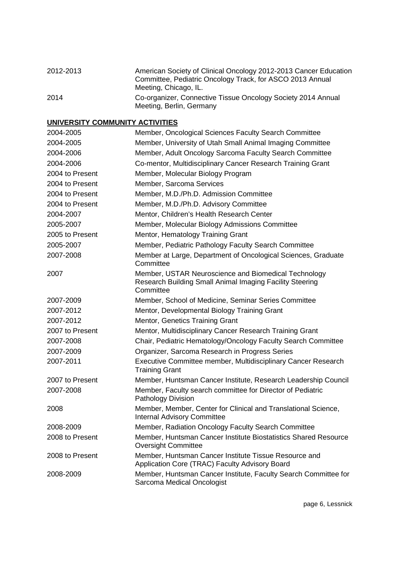| 2012-2013 | American Society of Clinical Oncology 2012-2013 Cancer Education<br>Committee, Pediatric Oncology Track, for ASCO 2013 Annual<br>Meeting, Chicago, IL. |
|-----------|--------------------------------------------------------------------------------------------------------------------------------------------------------|
| 2014      | Co-organizer, Connective Tissue Oncology Society 2014 Annual<br>Meeting, Berlin, Germany                                                               |

## **UNIVERSITY COMMUNITY ACTIVITIES**

| 2004-2005       | Member, Oncological Sciences Faculty Search Committee                                                                         |
|-----------------|-------------------------------------------------------------------------------------------------------------------------------|
| 2004-2005       | Member, University of Utah Small Animal Imaging Committee                                                                     |
| 2004-2006       | Member, Adult Oncology Sarcoma Faculty Search Committee                                                                       |
| 2004-2006       | Co-mentor, Multidisciplinary Cancer Research Training Grant                                                                   |
| 2004 to Present | Member, Molecular Biology Program                                                                                             |
| 2004 to Present | Member, Sarcoma Services                                                                                                      |
| 2004 to Present | Member, M.D./Ph.D. Admission Committee                                                                                        |
| 2004 to Present | Member, M.D./Ph.D. Advisory Committee                                                                                         |
| 2004-2007       | Mentor, Children's Health Research Center                                                                                     |
| 2005-2007       | Member, Molecular Biology Admissions Committee                                                                                |
| 2005 to Present | Mentor, Hematology Training Grant                                                                                             |
| 2005-2007       | Member, Pediatric Pathology Faculty Search Committee                                                                          |
| 2007-2008       | Member at Large, Department of Oncological Sciences, Graduate<br>Committee                                                    |
| 2007            | Member, USTAR Neuroscience and Biomedical Technology<br>Research Building Small Animal Imaging Facility Steering<br>Committee |
| 2007-2009       | Member, School of Medicine, Seminar Series Committee                                                                          |
| 2007-2012       | Mentor, Developmental Biology Training Grant                                                                                  |
| 2007-2012       | Mentor, Genetics Training Grant                                                                                               |
| 2007 to Present | Mentor, Multidisciplinary Cancer Research Training Grant                                                                      |
| 2007-2008       | Chair, Pediatric Hematology/Oncology Faculty Search Committee                                                                 |
| 2007-2009       | Organizer, Sarcoma Research in Progress Series                                                                                |
| 2007-2011       | Executive Committee member, Multidisciplinary Cancer Research<br><b>Training Grant</b>                                        |
| 2007 to Present | Member, Huntsman Cancer Institute, Research Leadership Council                                                                |
| 2007-2008       | Member, Faculty search committee for Director of Pediatric<br>Pathology Division                                              |
| 2008            | Member, Member, Center for Clinical and Translational Science,<br><b>Internal Advisory Committee</b>                          |
| 2008-2009       | Member, Radiation Oncology Faculty Search Committee                                                                           |
| 2008 to Present | Member, Huntsman Cancer Institute Biostatistics Shared Resource<br><b>Oversight Committee</b>                                 |
| 2008 to Present | Member, Huntsman Cancer Institute Tissue Resource and<br>Application Core (TRAC) Faculty Advisory Board                       |
| 2008-2009       | Member, Huntsman Cancer Institute, Faculty Search Committee for<br>Sarcoma Medical Oncologist                                 |

page 6, Lessnick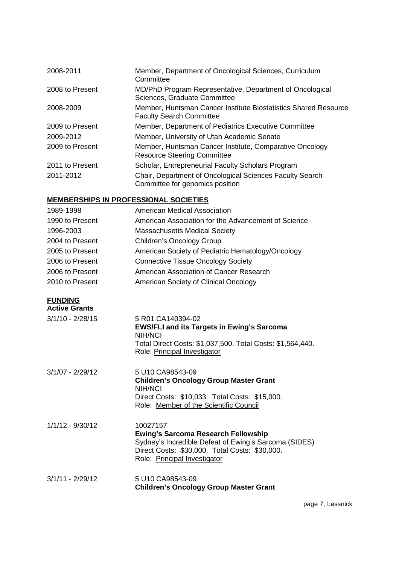| 2008-2011       | Member, Department of Oncological Sciences, Curriculum<br>Committee                                |
|-----------------|----------------------------------------------------------------------------------------------------|
| 2008 to Present | MD/PhD Program Representative, Department of Oncological<br>Sciences, Graduate Committee           |
| 2008-2009       | Member, Huntsman Cancer Institute Biostatistics Shared Resource<br><b>Faculty Search Committee</b> |
| 2009 to Present | Member, Department of Pediatrics Executive Committee                                               |
| 2009-2012       | Member, University of Utah Academic Senate                                                         |
| 2009 to Present | Member, Huntsman Cancer Institute, Comparative Oncology<br><b>Resource Steering Committee</b>      |
| 2011 to Present | Scholar, Entrepreneurial Faculty Scholars Program                                                  |
| 2011-2012       | Chair, Department of Oncological Sciences Faculty Search<br>Committee for genomics position        |

## **MEMBERSHIPS IN PROFESSIONAL SOCIETIES**

| 1989-1998            | <b>American Medical Association</b>                                                                                                                                                               |
|----------------------|---------------------------------------------------------------------------------------------------------------------------------------------------------------------------------------------------|
| 1990 to Present      | American Association for the Advancement of Science                                                                                                                                               |
| 1996-2003            | <b>Massachusetts Medical Society</b>                                                                                                                                                              |
| 2004 to Present      | Children's Oncology Group                                                                                                                                                                         |
| 2005 to Present      | American Society of Pediatric Hematology/Oncology                                                                                                                                                 |
| 2006 to Present      | <b>Connective Tissue Oncology Society</b>                                                                                                                                                         |
| 2006 to Present      | American Association of Cancer Research                                                                                                                                                           |
| 2010 to Present      | American Society of Clinical Oncology                                                                                                                                                             |
| <b>FUNDING</b>       |                                                                                                                                                                                                   |
| <b>Active Grants</b> |                                                                                                                                                                                                   |
| $3/1/10 - 2/28/15$   | 5 R01 CA140394-02<br><b>EWS/FLI and its Targets in Ewing's Sarcoma</b><br><b>NIH/NCI</b><br>Total Direct Costs: \$1,037,500. Total Costs: \$1,564,440.<br>Role: Principal Investigator            |
| $3/1/07 - 2/29/12$   | 5 U10 CA98543-09<br><b>Children's Oncology Group Master Grant</b><br>NIH/NCI<br>Direct Costs: \$10,033. Total Costs: \$15,000.<br>Role: Member of the Scientific Council                          |
| $1/1/12 - 9/30/12$   | 10027157<br><b>Ewing's Sarcoma Research Fellowship</b><br>Sydney's Incredible Defeat of Ewing's Sarcoma (SIDES)<br>Direct Costs: \$30,000. Total Costs: \$30,000.<br>Role: Principal Investigator |
| $3/1/11 - 2/29/12$   | 5 U10 CA98543-09<br><b>Children's Oncology Group Master Grant</b>                                                                                                                                 |

page 7, Lessnick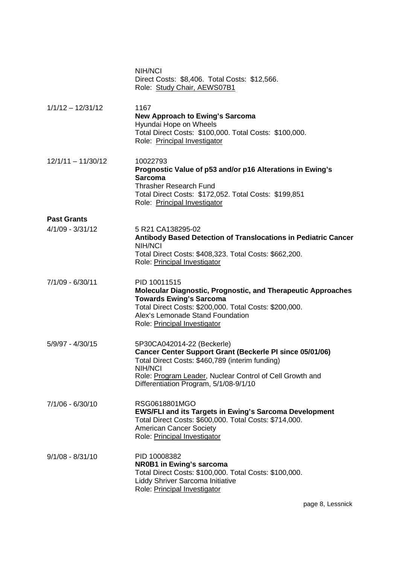|                      | NIH/NCI<br>Direct Costs: \$8,406. Total Costs: \$12,566.<br>Role: Study Chair, AEWS07B1                                                                                                                                                                                  |
|----------------------|--------------------------------------------------------------------------------------------------------------------------------------------------------------------------------------------------------------------------------------------------------------------------|
| $1/1/12 - 12/31/12$  | 1167<br><b>New Approach to Ewing's Sarcoma</b><br>Hyundai Hope on Wheels<br>Total Direct Costs: \$100,000. Total Costs: \$100,000.<br>Role: Principal Investigator                                                                                                       |
| $12/1/11 - 11/30/12$ | 10022793<br>Prognostic Value of p53 and/or p16 Alterations in Ewing's<br><b>Sarcoma</b><br><b>Thrasher Research Fund</b><br>Total Direct Costs: \$172,052. Total Costs: \$199,851<br>Role: Principal Investigator                                                        |
| <b>Past Grants</b>   |                                                                                                                                                                                                                                                                          |
| $4/1/09 - 3/31/12$   | 5 R21 CA138295-02<br>Antibody Based Detection of Translocations in Pediatric Cancer<br>NIH/NCI<br>Total Direct Costs: \$408,323. Total Costs: \$662,200.<br>Role: Principal Investigator                                                                                 |
| 7/1/09 - 6/30/11     | PID 10011515<br><b>Molecular Diagnostic, Prognostic, and Therapeutic Approaches</b><br><b>Towards Ewing's Sarcoma</b><br>Total Direct Costs: \$200,000. Total Costs: \$200,000.<br>Alex's Lemonade Stand Foundation<br>Role: Principal Investigator                      |
| $5/9/97 - 4/30/15$   | 5P30CA042014-22 (Beckerle)<br><b>Cancer Center Support Grant (Beckerle PI since 05/01/06)</b><br>Total Direct Costs: \$460,789 (interim funding)<br><b>NIH/NCI</b><br>Role: Program Leader, Nuclear Control of Cell Growth and<br>Differentiation Program, 5/1/08-9/1/10 |
| 7/1/06 - 6/30/10     | RSG0618801MGO<br><b>EWS/FLI and its Targets in Ewing's Sarcoma Development</b><br>Total Direct Costs: \$600,000. Total Costs: \$714,000.<br><b>American Cancer Society</b><br>Role: Principal Investigator                                                               |
| $9/1/08 - 8/31/10$   | PID 10008382<br><b>NR0B1 in Ewing's sarcoma</b><br>Total Direct Costs: \$100,000. Total Costs: \$100,000.<br>Liddy Shriver Sarcoma Initiative<br>Role: Principal Investigator                                                                                            |

page 8, Lessnick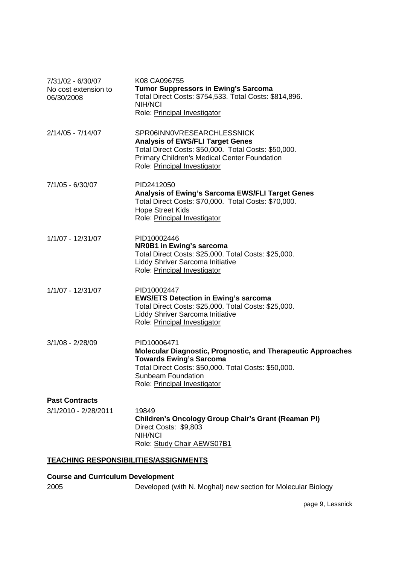| 7/31/02 - 6/30/07<br>No cost extension to<br>06/30/2008 | K08 CA096755<br><b>Tumor Suppressors in Ewing's Sarcoma</b><br>Total Direct Costs: \$754,533. Total Costs: \$814,896.<br>NIH/NCI<br>Role: Principal Investigator                                                            |
|---------------------------------------------------------|-----------------------------------------------------------------------------------------------------------------------------------------------------------------------------------------------------------------------------|
| 2/14/05 - 7/14/07                                       | SPR06INN0VRESEARCHLESSNICK<br><b>Analysis of EWS/FLI Target Genes</b><br>Total Direct Costs: \$50,000. Total Costs: \$50,000.<br><b>Primary Children's Medical Center Foundation</b><br>Role: Principal Investigator        |
| 7/1/05 - 6/30/07                                        | PID2412050<br><b>Analysis of Ewing's Sarcoma EWS/FLI Target Genes</b><br>Total Direct Costs: \$70,000. Total Costs: \$70,000.<br><b>Hope Street Kids</b><br>Role: Principal Investigator                                    |
| 1/1/07 - 12/31/07                                       | PID10002446<br><b>NR0B1 in Ewing's sarcoma</b><br>Total Direct Costs: \$25,000. Total Costs: \$25,000.<br>Liddy Shriver Sarcoma Initiative<br>Role: Principal Investigator                                                  |
| 1/1/07 - 12/31/07                                       | PID10002447<br><b>EWS/ETS Detection in Ewing's sarcoma</b><br>Total Direct Costs: \$25,000. Total Costs: \$25,000.<br>Liddy Shriver Sarcoma Initiative<br>Role: Principal Investigator                                      |
| 3/1/08 - 2/28/09                                        | PID10006471<br>Molecular Diagnostic, Prognostic, and Therapeutic Approaches<br><b>Towards Ewing's Sarcoma</b><br>Total Direct Costs: \$50,000. Total Costs: \$50,000.<br>Sunbeam Foundation<br>Role: Principal Investigator |
| <b>Past Contracts</b><br>3/1/2010 - 2/28/2011           | 19849<br>Children's Oncology Group Chair's Grant (Reaman PI)<br>Direct Costs: \$9,803<br><b>NIH/NCI</b><br>Role: Study Chair AEWS07B1                                                                                       |

# **TEACHING RESPONSIBILITIES/ASSIGNMENTS**

## **Course and Curriculum Development**

2005 Developed (with N. Moghal) new section for Molecular Biology

page 9, Lessnick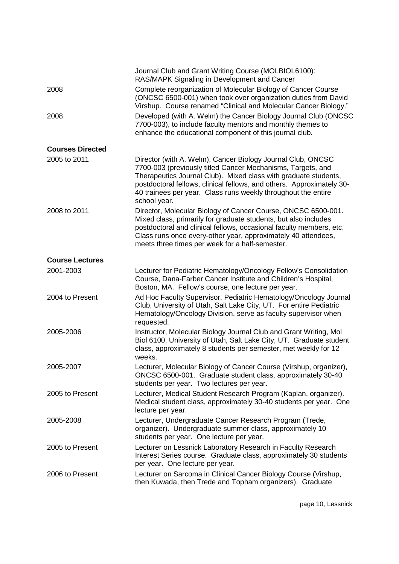|                         | Journal Club and Grant Writing Course (MOLBIOL6100):<br>RAS/MAPK Signaling in Development and Cancer                                                                                                                                                                                                                                                    |
|-------------------------|---------------------------------------------------------------------------------------------------------------------------------------------------------------------------------------------------------------------------------------------------------------------------------------------------------------------------------------------------------|
| 2008                    | Complete reorganization of Molecular Biology of Cancer Course<br>(ONCSC 6500-001) when took over organization duties from David<br>Virshup. Course renamed "Clinical and Molecular Cancer Biology."                                                                                                                                                     |
| 2008                    | Developed (with A. Welm) the Cancer Biology Journal Club (ONCSC<br>7700-003), to include faculty mentors and monthly themes to<br>enhance the educational component of this journal club.                                                                                                                                                               |
| <b>Courses Directed</b> |                                                                                                                                                                                                                                                                                                                                                         |
| 2005 to 2011            | Director (with A. Welm), Cancer Biology Journal Club, ONCSC<br>7700-003 (previously titled Cancer Mechanisms, Targets, and<br>Therapeutics Journal Club). Mixed class with graduate students,<br>postdoctoral fellows, clinical fellows, and others. Approximately 30-<br>40 trainees per year. Class runs weekly throughout the entire<br>school year. |
| 2008 to 2011            | Director, Molecular Biology of Cancer Course, ONCSC 6500-001.<br>Mixed class, primarily for graduate students, but also includes<br>postdoctoral and clinical fellows, occasional faculty members, etc.<br>Class runs once every-other year, approximately 40 attendees,<br>meets three times per week for a half-semester.                             |
| <b>Course Lectures</b>  |                                                                                                                                                                                                                                                                                                                                                         |
| 2001-2003               | Lecturer for Pediatric Hematology/Oncology Fellow's Consolidation<br>Course, Dana-Farber Cancer Institute and Children's Hospital,<br>Boston, MA. Fellow's course, one lecture per year.                                                                                                                                                                |
| 2004 to Present         | Ad Hoc Faculty Supervisor, Pediatric Hematology/Oncology Journal<br>Club, University of Utah, Salt Lake City, UT. For entire Pediatric<br>Hematology/Oncology Division, serve as faculty supervisor when<br>requested.                                                                                                                                  |
| 2005-2006               | Instructor, Molecular Biology Journal Club and Grant Writing, Mol<br>Biol 6100, University of Utah, Salt Lake City, UT. Graduate student<br>class, approximately 8 students per semester, met weekly for 12<br>weeks.                                                                                                                                   |
| 2005-2007               | Lecturer, Molecular Biology of Cancer Course (Virshup, organizer),<br>ONCSC 6500-001. Graduate student class, approximately 30-40<br>students per year. Two lectures per year.                                                                                                                                                                          |
| 2005 to Present         | Lecturer, Medical Student Research Program (Kaplan, organizer).<br>Medical student class, approximately 30-40 students per year. One<br>lecture per year.                                                                                                                                                                                               |
| 2005-2008               | Lecturer, Undergraduate Cancer Research Program (Trede,<br>organizer). Undergraduate summer class, approximately 10<br>students per year. One lecture per year.                                                                                                                                                                                         |
| 2005 to Present         | Lecturer on Lessnick Laboratory Research in Faculty Research<br>Interest Series course. Graduate class, approximately 30 students<br>per year. One lecture per year.                                                                                                                                                                                    |
| 2006 to Present         | Lecturer on Sarcoma in Clinical Cancer Biology Course (Virshup,<br>then Kuwada, then Trede and Topham organizers). Graduate                                                                                                                                                                                                                             |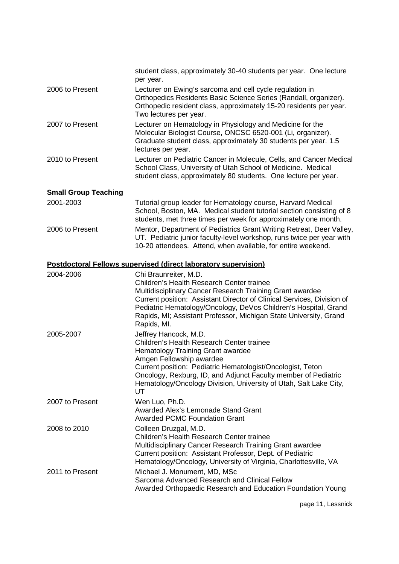|                             | student class, approximately 30-40 students per year. One lecture<br>per year.                                                                                                                                                                                                                                                                                  |
|-----------------------------|-----------------------------------------------------------------------------------------------------------------------------------------------------------------------------------------------------------------------------------------------------------------------------------------------------------------------------------------------------------------|
| 2006 to Present             | Lecturer on Ewing's sarcoma and cell cycle regulation in<br>Orthopedics Residents Basic Science Series (Randall, organizer).<br>Orthopedic resident class, approximately 15-20 residents per year.<br>Two lectures per year.                                                                                                                                    |
| 2007 to Present             | Lecturer on Hematology in Physiology and Medicine for the<br>Molecular Biologist Course, ONCSC 6520-001 (Li, organizer).<br>Graduate student class, approximately 30 students per year. 1.5<br>lectures per year.                                                                                                                                               |
| 2010 to Present             | Lecturer on Pediatric Cancer in Molecule, Cells, and Cancer Medical<br>School Class, University of Utah School of Medicine. Medical<br>student class, approximately 80 students. One lecture per year.                                                                                                                                                          |
| <b>Small Group Teaching</b> |                                                                                                                                                                                                                                                                                                                                                                 |
| 2001-2003                   | Tutorial group leader for Hematology course, Harvard Medical<br>School, Boston, MA. Medical student tutorial section consisting of 8<br>students, met three times per week for approximately one month.                                                                                                                                                         |
| 2006 to Present             | Mentor, Department of Pediatrics Grant Writing Retreat, Deer Valley,<br>UT. Pediatric junior faculty-level workshop, runs twice per year with<br>10-20 attendees. Attend, when available, for entire weekend.                                                                                                                                                   |
|                             | <b>Postdoctoral Fellows supervised (direct laboratory supervision)</b>                                                                                                                                                                                                                                                                                          |
| 2004-2006                   | Chi Braunreiter, M.D.<br>Children's Health Research Center trainee<br>Multidisciplinary Cancer Research Training Grant awardee<br>Current position: Assistant Director of Clinical Services, Division of<br>Pediatric Hematology/Oncology, DeVos Children's Hospital, Grand<br>Rapids, MI; Assistant Professor, Michigan State University, Grand<br>Rapids, MI. |
| 2005-2007                   | Jeffrey Hancock, M.D.<br>Children's Health Research Center trainee<br><b>Hematology Training Grant awardee</b><br>Amgen Fellowship awardee<br>Current position: Pediatric Hematologist/Oncologist, Teton<br>Oncology, Rexburg, ID, and Adjunct Faculty member of Pediatric<br>Hematology/Oncology Division, University of Utah, Salt Lake City,<br>UT           |
| 2007 to Present             | Wen Luo, Ph.D.<br>Awarded Alex's Lemonade Stand Grant<br><b>Awarded PCMC Foundation Grant</b>                                                                                                                                                                                                                                                                   |
| 2008 to 2010                | Colleen Druzgal, M.D.<br>Children's Health Research Center trainee<br>Multidisciplinary Cancer Research Training Grant awardee<br>Current position: Assistant Professor, Dept. of Pediatric<br>Hematology/Oncology, University of Virginia, Charlottesville, VA                                                                                                 |
| 2011 to Present             | Michael J. Monument, MD, MSc<br>Sarcoma Advanced Research and Clinical Fellow<br>Awarded Orthopaedic Research and Education Foundation Young                                                                                                                                                                                                                    |

page 11, Lessnick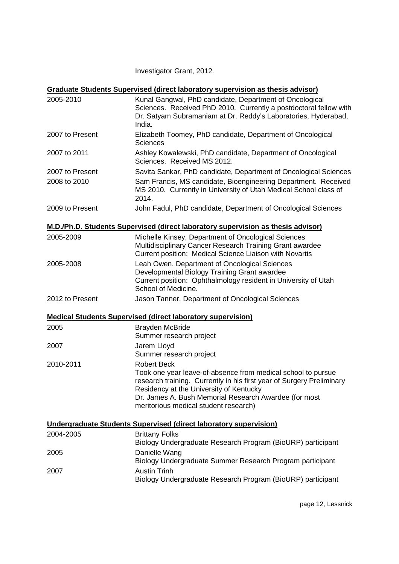Investigator Grant, 2012.

## **Graduate Students Supervised (direct laboratory supervision as thesis advisor)**

| 2005-2010       | Kunal Gangwal, PhD candidate, Department of Oncological<br>Sciences. Received PhD 2010. Currently a postdoctoral fellow with<br>Dr. Satyam Subramaniam at Dr. Reddy's Laboratories, Hyderabad,<br>India.                                                                                                 |
|-----------------|----------------------------------------------------------------------------------------------------------------------------------------------------------------------------------------------------------------------------------------------------------------------------------------------------------|
| 2007 to Present | Elizabeth Toomey, PhD candidate, Department of Oncological<br>Sciences                                                                                                                                                                                                                                   |
| 2007 to 2011    | Ashley Kowalewski, PhD candidate, Department of Oncological<br>Sciences. Received MS 2012.                                                                                                                                                                                                               |
| 2007 to Present | Savita Sankar, PhD candidate, Department of Oncological Sciences                                                                                                                                                                                                                                         |
| 2008 to 2010    | Sam Francis, MS candidate, Bioengineering Department. Received<br>MS 2010. Currently in University of Utah Medical School class of<br>2014.                                                                                                                                                              |
| 2009 to Present | John Fadul, PhD candidate, Department of Oncological Sciences                                                                                                                                                                                                                                            |
|                 | M.D./Ph.D. Students Supervised (direct laboratory supervision as thesis advisor)                                                                                                                                                                                                                         |
| 2005-2009       | Michelle Kinsey, Department of Oncological Sciences<br>Multidisciplinary Cancer Research Training Grant awardee<br>Current position: Medical Science Liaison with Novartis                                                                                                                               |
| 2005-2008       | Leah Owen, Department of Oncological Sciences<br>Developmental Biology Training Grant awardee<br>Current position: Ophthalmology resident in University of Utah<br>School of Medicine.                                                                                                                   |
| 2012 to Present | Jason Tanner, Department of Oncological Sciences                                                                                                                                                                                                                                                         |
|                 | <b>Medical Students Supervised (direct laboratory supervision)</b>                                                                                                                                                                                                                                       |
| 2005            | <b>Brayden McBride</b>                                                                                                                                                                                                                                                                                   |
|                 | Summer research project                                                                                                                                                                                                                                                                                  |
| 2007            | Jarem Lloyd<br>Summer research project                                                                                                                                                                                                                                                                   |
| 2010-2011       | <b>Robert Beck</b><br>Took one year leave-of-absence from medical school to pursue<br>research training. Currently in his first year of Surgery Preliminary<br>Residency at the University of Kentucky<br>Dr. James A. Bush Memorial Research Awardee (for most<br>meritorious medical student research) |
|                 | <b>Undergraduate Students Supervised (direct laboratory supervision)</b>                                                                                                                                                                                                                                 |
| 2004-2005       | <b>Brittany Folks</b>                                                                                                                                                                                                                                                                                    |
|                 | Biology Undergraduate Research Program (BioURP) participant                                                                                                                                                                                                                                              |
| 2005            | Danielle Wang                                                                                                                                                                                                                                                                                            |

Biology Undergraduate Summer Research Program participant 2007 Austin Trinh Biology Undergraduate Research Program (BioURP) participant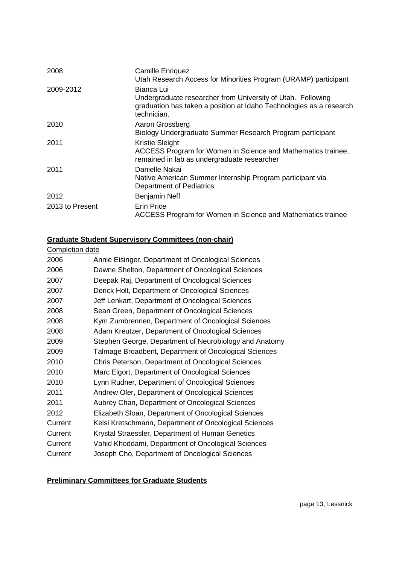| 2008            | <b>Camille Enriquez</b><br>Utah Research Access for Minorities Program (URAMP) participant                                                                      |
|-----------------|-----------------------------------------------------------------------------------------------------------------------------------------------------------------|
| 2009-2012       | Bianca Lui<br>Undergraduate researcher from University of Utah. Following<br>graduation has taken a position at Idaho Technologies as a research<br>technician. |
| 2010            | Aaron Grossberg<br>Biology Undergraduate Summer Research Program participant                                                                                    |
| 2011            | <b>Kristie Sleight</b><br>ACCESS Program for Women in Science and Mathematics trainee,<br>remained in lab as undergraduate researcher                           |
| 2011            | Danielle Nakai<br>Native American Summer Internship Program participant via<br><b>Department of Pediatrics</b>                                                  |
| 2012            | Benjamin Neff                                                                                                                                                   |
| 2013 to Present | <b>Erin Price</b><br>ACCESS Program for Women in Science and Mathematics trainee                                                                                |

## **Graduate Student Supervisory Committees (non-chair)**

| <b>Completion date</b> |                                                        |
|------------------------|--------------------------------------------------------|
| 2006                   | Annie Eisinger, Department of Oncological Sciences     |
| 2006                   | Dawne Shelton, Department of Oncological Sciences      |
| 2007                   | Deepak Raj, Department of Oncological Sciences         |
| 2007                   | Derick Holt, Department of Oncological Sciences        |
| 2007                   | Jeff Lenkart, Department of Oncological Sciences       |
| 2008                   | Sean Green, Department of Oncological Sciences         |
| 2008                   | Kym Zumbrennen, Department of Oncological Sciences     |
| 2008                   | Adam Kreutzer, Department of Oncological Sciences      |
| 2009                   | Stephen George, Department of Neurobiology and Anatomy |
| 2009                   | Talmage Broadbent, Department of Oncological Sciences  |
| 2010                   | Chris Peterson, Department of Oncological Sciences     |
| 2010                   | Marc Elgort, Department of Oncological Sciences        |
| 2010                   | Lynn Rudner, Department of Oncological Sciences        |
| 2011                   | Andrew Oler, Department of Oncological Sciences        |
| 2011                   | Aubrey Chan, Department of Oncological Sciences        |
| 2012                   | Elizabeth Sloan, Department of Oncological Sciences    |
| Current                | Kelsi Kretschmann, Department of Oncological Sciences  |
| Current                | Krystal Straessler, Department of Human Genetics       |
| Current                | Vahid Khoddami, Department of Oncological Sciences     |
| Current                | Joseph Cho, Department of Oncological Sciences         |

# **Preliminary Committees for Graduate Students**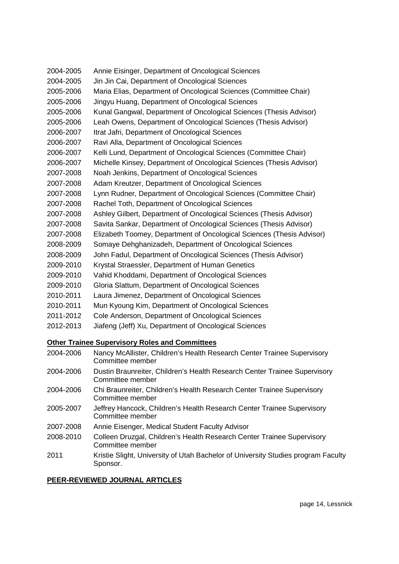| 2004-2005 | Annie Eisinger, Department of Oncological Sciences                    |
|-----------|-----------------------------------------------------------------------|
| 2004-2005 | Jin Jin Cai, Department of Oncological Sciences                       |
| 2005-2006 | Maria Elias, Department of Oncological Sciences (Committee Chair)     |
| 2005-2006 | Jingyu Huang, Department of Oncological Sciences                      |
| 2005-2006 | Kunal Gangwal, Department of Oncological Sciences (Thesis Advisor)    |
| 2005-2006 | Leah Owens, Department of Oncological Sciences (Thesis Advisor)       |
| 2006-2007 | Itrat Jafri, Department of Oncological Sciences                       |
| 2006-2007 | Ravi Alla, Department of Oncological Sciences                         |
| 2006-2007 | Kelli Lund, Department of Oncological Sciences (Committee Chair)      |
| 2006-2007 | Michelle Kinsey, Department of Oncological Sciences (Thesis Advisor)  |
| 2007-2008 | Noah Jenkins, Department of Oncological Sciences                      |
| 2007-2008 | Adam Kreutzer, Department of Oncological Sciences                     |
| 2007-2008 | Lynn Rudner, Department of Oncological Sciences (Committee Chair)     |
| 2007-2008 | Rachel Toth, Department of Oncological Sciences                       |
| 2007-2008 | Ashley Gilbert, Department of Oncological Sciences (Thesis Advisor)   |
| 2007-2008 | Savita Sankar, Department of Oncological Sciences (Thesis Advisor)    |
| 2007-2008 | Elizabeth Toomey, Department of Oncological Sciences (Thesis Advisor) |
| 2008-2009 | Somaye Dehghanizadeh, Department of Oncological Sciences              |
| 2008-2009 | John Fadul, Department of Oncological Sciences (Thesis Advisor)       |
| 2009-2010 | Krystal Straessler, Department of Human Genetics                      |
| 2009-2010 | Vahid Khoddami, Department of Oncological Sciences                    |
| 2009-2010 | Gloria Slattum, Department of Oncological Sciences                    |
| 2010-2011 | Laura Jimenez, Department of Oncological Sciences                     |
| 2010-2011 | Mun Kyoung Kim, Department of Oncological Sciences                    |
| 2011-2012 | Cole Anderson, Department of Oncological Sciences                     |

2012-2013 Jiafeng (Jeff) Xu, Department of Oncological Sciences

# **Other Trainee Supervisory Roles and Committees**

| 2004-2006 | Nancy McAllister, Children's Health Research Center Trainee Supervisory<br>Committee member |
|-----------|---------------------------------------------------------------------------------------------|
| 2004-2006 | Dustin Braunreiter, Children's Health Research Center Trainee Supervisory                   |

- 2004-2006 Dustin Braunreiter, Children's Health Research Center Trainee Supervisory Committee member
- 2004-2006 Chi Braunreiter, Children's Health Research Center Trainee Supervisory Committee member
- 2005-2007 Jeffrey Hancock, Children's Health Research Center Trainee Supervisory Committee member
- 2007-2008 Annie Eisenger, Medical Student Faculty Advisor
- 2008-2010 Colleen Druzgal, Children's Health Research Center Trainee Supervisory Committee member
- 2011 Kristie Slight, University of Utah Bachelor of University Studies program Faculty Sponsor.

# **PEER-REVIEWED JOURNAL ARTICLES**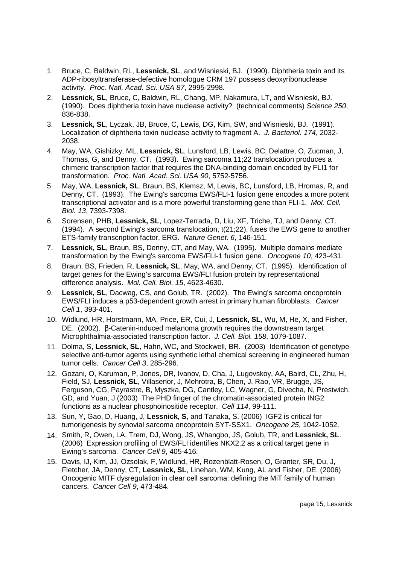- 1. Bruce, C, Baldwin, RL, **Lessnick, SL**, and Wisnieski, BJ. (1990). Diphtheria toxin and its ADP-ribosyltransferase-defective homologue CRM 197 possess deoxyribonuclease activity. Proc. Natl. Acad. Sci. USA 87, 2995-2998.
- 2. **Lessnick, SL**, Bruce, C, Baldwin, RL, Chang, MP, Nakamura, LT, and Wisnieski, BJ. (1990). Does diphtheria toxin have nuclease activity? (technical comments) Science 250, 836-838.
- 3. **Lessnick, SL**, Lyczak, JB, Bruce, C, Lewis, DG, Kim, SW, and Wisnieski, BJ. (1991). Localization of diphtheria toxin nuclease activity to fragment A. J. Bacteriol. 174, 2032- 2038.
- 4. May, WA, Gishizky, ML, **Lessnick, SL**, Lunsford, LB, Lewis, BC, Delattre, O, Zucman, J, Thomas, G, and Denny, CT. (1993). Ewing sarcoma 11;22 translocation produces a chimeric transcription factor that requires the DNA-binding domain encoded by FLI1 for transformation. Proc. Natl. Acad. Sci. USA 90, 5752-5756.
- 5. May, WA, **Lessnick, SL**, Braun, BS, Klemsz, M, Lewis, BC, Lunsford, LB, Hromas, R, and Denny, CT. (1993). The Ewing's sarcoma EWS/FLI-1 fusion gene encodes a more potent transcriptional activator and is a more powerful transforming gene than FLI-1. Mol. Cell. Biol. 13, 7393-7398.
- 6. Sorensen, PHB, **Lessnick, SL**, Lopez-Terrada, D, Liu, XF, Triche, TJ, and Denny, CT. (1994). A second Ewing's sarcoma translocation, t(21;22), fuses the EWS gene to another ETS-family transcription factor, ERG. Nature Genet. 6, 146-151.
- 7. **Lessnick, SL**, Braun, BS, Denny, CT, and May, WA. (1995). Multiple domains mediate transformation by the Ewing's sarcoma EWS/FLI-1 fusion gene. Oncogene 10, 423-431.
- 8. Braun, BS, Frieden, R, **Lessnick, SL**, May, WA, and Denny, CT. (1995). Identification of target genes for the Ewing's sarcoma EWS/FLI fusion protein by representational difference analysis. Mol. Cell. Biol. 15, 4623-4630.
- 9. **Lessnick, SL**, Dacwag, CS, and Golub, TR. (2002). The Ewing's sarcoma oncoprotein EWS/FLI induces a p53-dependent growth arrest in primary human fibroblasts. Cancer Cell 1, 393-401.
- 10. Widlund, HR, Horstmann, MA, Price, ER, Cui, J, **Lessnick, SL**, Wu, M, He, X, and Fisher, DE. (2002). β-Catenin-induced melanoma growth requires the downstream target Microphthalmia-associated transcription factor. J. Cell. Biol. 158, 1079-1087.
- 11. Dolma, S, **Lessnick, SL**, Hahn, WC, and Stockwell, BR. (2003) Identification of genotypeselective anti-tumor agents using synthetic lethal chemical screening in engineered human tumor cells. Cancer Cell 3, 285-296.
- 12. Gozani, O, Karuman, P, Jones, DR, Ivanov, D, Cha, J, Lugovskoy, AA, Baird, CL, Zhu, H, Field, SJ, **Lessnick, SL**, Villasenor, J, Mehrotra, B, Chen, J, Rao, VR, Brugge, JS, Ferguson, CG, Payrastre, B, Myszka, DG, Cantley, LC, Wagner, G, Divecha, N, Prestwich, GD, and Yuan, J (2003) The PHD finger of the chromatin-associated protein ING2 functions as a nuclear phosphoinositide receptor. Cell 114, 99-111.
- 13. Sun, Y, Gao, D, Huang, J, **Lessnick, S**, and Tanaka, S. (2006) IGF2 is critical for tumorigenesis by synovial sarcoma oncoprotein SYT-SSX1. Oncogene 25, 1042-1052.
- 14. Smith, R, Owen, LA, Trem, DJ, Wong, JS, Whangbo, JS, Golub, TR, and **Lessnick, SL**. (2006) Expression profiling of EWS/FLI identifies NKX2.2 as a critical target gene in Ewing's sarcoma. Cancer Cell 9, 405-416.
- 15. Davis, IJ, Kim, JJ, Ozsolak, F, Widlund, HR, Rozenblatt-Rosen, O, Granter, SR, Du, J, Fletcher, JA, Denny, CT, **Lessnick, SL**, Linehan, WM, Kung, AL and Fisher, DE. (2006) Oncogenic MITF dysregulation in clear cell sarcoma: defining the MiT family of human cancers. Cancer Cell 9, 473-484.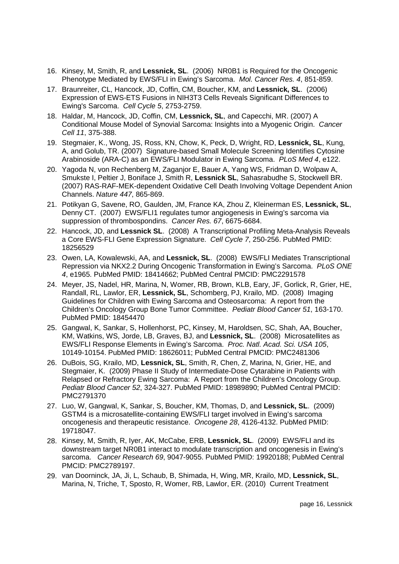- 16. Kinsey, M, Smith, R, and **Lessnick, SL**. (2006) NR0B1 is Required for the Oncogenic Phenotype Mediated by EWS/FLI in Ewing's Sarcoma. Mol. Cancer Res. 4, 851-859.
- 17. Braunreiter, CL, Hancock, JD, Coffin, CM, Boucher, KM, and **Lessnick, SL**. (2006) Expression of EWS-ETS Fusions in NIH3T3 Cells Reveals Significant Differences to Ewing's Sarcoma. Cell Cycle 5, 2753-2759.
- 18. Haldar, M, Hancock, JD, Coffin, CM, **Lessnick, SL**, and Capecchi, MR. (2007) A Conditional Mouse Model of Synovial Sarcoma: Insights into a Myogenic Origin. Cancer Cell 11, 375-388.
- 19. Stegmaier, K., Wong, JS, Ross, KN, Chow, K, Peck, D, Wright, RD, **Lessnick, SL**, Kung, A, and Golub, TR. (2007) Signature-based Small Molecule Screening Identifies Cytosine Arabinoside (ARA-C) as an EWS/FLI Modulator in Ewing Sarcoma. PLoS Med 4, e122.
- 20. Yagoda N, von Rechenberg M, Zaganjor E, Bauer A, Yang WS, Fridman D, Wolpaw A, Smukste I, Peltier J, Boniface J, Smith R, **Lessnick SL**, Sahasrabudhe S, Stockwell BR. (2007) RAS-RAF-MEK-dependent Oxidative Cell Death Involving Voltage Dependent Anion Channels. Nature 447, 865-869.
- 21. Potikyan G, Savene, RO, Gaulden, JM, France KA, Zhou Z, Kleinerman ES, **Lessnick, SL**, Denny CT. (2007) EWS/FLI1 regulates tumor angiogenesis in Ewing's sarcoma via suppression of thrombospondins. Cancer Res. 67, 6675-6684.
- 22. Hancock, JD, and **Lessnick SL**. (2008) A Transcriptional Profiling Meta-Analysis Reveals a Core EWS-FLI Gene Expression Signature. Cell Cycle 7, 250-256. PubMed PMID: 18256529
- 23. Owen, LA, Kowalewski, AA, and **Lessnick, SL**. (2008) EWS/FLI Mediates Transcriptional Repression via NKX2.2 During Oncogenic Transformation in Ewing's Sarcoma. PLoS ONE 4, e1965. PubMed PMID: 18414662; PubMed Central PMCID: PMC2291578
- 24. Meyer, JS, Nadel, HR, Marina, N, Womer, RB, Brown, KLB, Eary, JF, Gorlick, R, Grier, HE, Randall, RL, Lawlor, ER, **Lessnick, SL**, Schomberg, PJ, Krailo, MD. (2008) Imaging Guidelines for Children with Ewing Sarcoma and Osteosarcoma: A report from the Children's Oncology Group Bone Tumor Committee. Pediatr Blood Cancer 51, 163-170. PubMed PMID: 18454470
- 25. Gangwal, K, Sankar, S, Hollenhorst, PC, Kinsey, M, Haroldsen, SC, Shah, AA, Boucher, KM, Watkins, WS, Jorde, LB, Graves, BJ, and **Lessnick, SL**. (2008) Microsatellites as EWS/FLI Response Elements in Ewing's Sarcoma. Proc. Natl. Acad. Sci. USA 105, 10149-10154. PubMed PMID: 18626011; PubMed Central PMCID: PMC2481306
- 26. DuBois, SG, Krailo, MD, **Lessnick, SL**, Smith, R, Chen, Z, Marina, N, Grier, HE, and Stegmaier, K. (2009) Phase II Study of Intermediate-Dose Cytarabine in Patients with Relapsed or Refractory Ewing Sarcoma: A Report from the Children's Oncology Group. Pediatr Blood Cancer 52, 324-327. PubMed PMID: 18989890; PubMed Central PMCID: PMC2791370
- 27. Luo, W, Gangwal, K, Sankar, S, Boucher, KM, Thomas, D, and **Lessnick, SL**. (2009) GSTM4 is a microsatellite-containing EWS/FLI target involved in Ewing's sarcoma oncogenesis and therapeutic resistance. Oncogene 28, 4126-4132. PubMed PMID: 19718047.
- 28. Kinsey, M, Smith, R, Iyer, AK, McCabe, ERB, **Lessnick, SL**. (2009) EWS/FLI and its downstream target NR0B1 interact to modulate transcription and oncogenesis in Ewing's sarcoma. Cancer Research 69, 9047-9055. PubMed PMID: 19920188; PubMed Central PMCID: PMC2789197.
- 29. van Doorninck, JA, Ji, L, Schaub, B, Shimada, H, Wing, MR, Krailo, MD, **Lessnick, SL**, Marina, N, Triche, T, Sposto, R, Womer, RB, Lawlor, ER. (2010) Current Treatment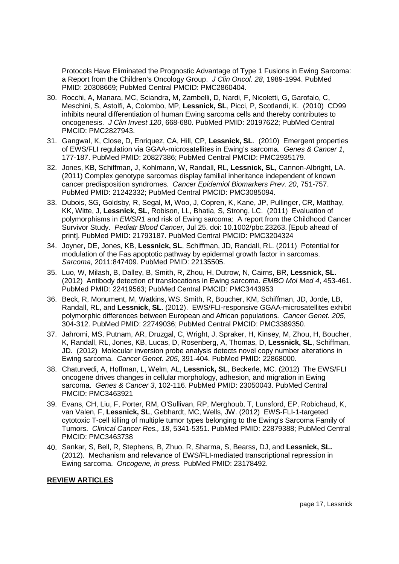Protocols Have Eliminated the Prognostic Advantage of Type 1 Fusions in Ewing Sarcoma: a Report from the Children's Oncology Group. J Clin Oncol. 28, 1989-1994. PubMed PMID: 20308669; PubMed Central PMCID: PMC2860404.

- 30. Rocchi, A, Manara, MC, Sciandra, M, Zambelli, D, Nardi, F, Nicoletti, G, Garofalo, C, Meschini, S, Astolfi, A, Colombo, MP, **Lessnick, SL**, Picci, P, Scotlandi, K. (2010) CD99 inhibits neural differentiation of human Ewing sarcoma cells and thereby contributes to oncogenesis. J Clin Invest 120, 668-680. PubMed PMID: 20197622; PubMed Central PMCID: PMC2827943.
- 31. Gangwal, K, Close, D, Enriquez, CA, Hill, CP, **Lessnick, SL**. (2010) Emergent properties of EWS/FLI regulation via GGAA-microsatellites in Ewing's sarcoma. Genes & Cancer 1, 177-187. PubMed PMID: 20827386; PubMed Central PMCID: PMC2935179.
- 32. Jones, KB, Schiffman, J, Kohlmann, W, Randall, RL, **Lessnick, SL**, Cannon-Albright, LA. (2011) Complex genotype sarcomas display familial inheritance independent of known cancer predisposition syndromes. Cancer Epidemiol Biomarkers Prev. 20, 751-757. PubMed PMID: 21242332; PubMed Central PMCID: PMC3085094.
- 33. Dubois, SG, Goldsby, R, Segal, M, Woo, J, Copren, K, Kane, JP, Pullinger, CR, Matthay, KK, Witte, J, **Lessnick, SL**, Robison, LL, Bhatia, S, Strong, LC. (2011) Evaluation of polymorphisms in EWSR1 and risk of Ewing sarcoma: A report from the Childhood Cancer Survivor Study. Pediatr Blood Cancer, Jul 25. doi: 10.1002/pbc.23263. [Epub ahead of print]. PubMed PMID: 21793187. PubMed Central PMCID: PMC3204324
- 34. Joyner, DE, Jones, KB, **Lessnick, SL**, Schiffman, JD, Randall, RL. (2011) Potential for modulation of the Fas apoptotic pathway by epidermal growth factor in sarcomas. Sarcoma, 2011:847409. PubMed PMID: 22135505.
- 35. Luo, W, Milash, B, Dalley, B, Smith, R, Zhou, H, Dutrow, N, Cairns, BR, **Lessnick, SL.** (2012) Antibody detection of translocations in Ewing sarcoma. EMBO Mol Med 4, 453-461. PubMed PMID: 22419563; PubMed Central PMCID: PMC3443953
- 36. Beck, R, Monument, M, Watkins, WS, Smith, R, Boucher, KM, Schiffman, JD, Jorde, LB, Randall, RL, and **Lessnick, SL.** (2012). EWS/FLI-responsive GGAA-microsatellites exhibit polymorphic differences between European and African populations. Cancer Genet. 205, 304-312. PubMed PMID: 22749036; PubMed Central PMCID: PMC3389350.
- 37. Jahromi, MS, Putnam, AR, Druzgal, C, Wright, J, Spraker, H, Kinsey, M, Zhou, H, Boucher, K, Randall, RL, Jones, KB, Lucas, D, Rosenberg, A, Thomas, D, **Lessnick, SL**, Schiffman, JD. (2012) Molecular inversion probe analysis detects novel copy number alterations in Ewing sarcoma. Cancer Genet. 205, 391-404. PubMed PMID: 22868000.
- 38. Chaturvedi, A, Hoffman, L, Welm, AL, **Lessnick, SL**, Beckerle, MC. (2012) The EWS/FLI oncogene drives changes in cellular morphology, adhesion, and migration in Ewing sarcoma. Genes & Cancer 3, 102-116. PubMed PMID: 23050043. PubMed Central PMCID: PMC3463921
- 39. Evans, CH, Liu, F, Porter, RM, O'Sullivan, RP, Merghoub, T, Lunsford, EP, Robichaud, K, van Valen, F, **Lessnick, SL**, Gebhardt, MC, Wells, JW. (2012) EWS-FLI-1-targeted cytotoxic T-cell killing of multiple tumor types belonging to the Ewing's Sarcoma Family of Tumors. Clinical Cancer Res., 18, 5341-5351. PubMed PMID: 22879388; PubMed Central PMCID: PMC3463738
- 40. Sankar, S, Bell, R, Stephens, B, Zhuo, R, Sharma, S, Bearss, DJ, and **Lessnick, SL.** (2012). Mechanism and relevance of EWS/FLI-mediated transcriptional repression in Ewing sarcoma. Oncogene, in press. PubMed PMID: 23178492.

#### **REVIEW ARTICLES**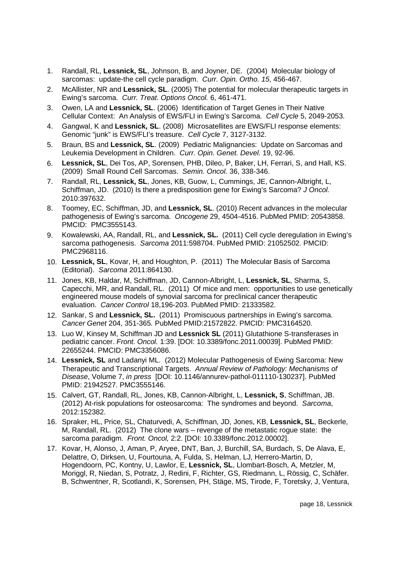- 1. Randall, RL, **Lessnick, SL**, Johnson, B, and Joyner, DE. (2004) Molecular biology of sarcomas: update-the cell cycle paradigm. Curr. Opin. Ortho. 15, 456-467.
- 2. McAllister, NR and **Lessnick, SL**. (2005) The potential for molecular therapeutic targets in Ewing's sarcoma. Curr. Treat. Options Oncol. 6, 461-471.
- 3. Owen, LA and **Lessnick, SL**. (2006) Identification of Target Genes in Their Native Cellular Context: An Analysis of EWS/FLI in Ewing's Sarcoma. Cell Cycle 5, 2049-2053.
- 4. Gangwal, K and **Lessnick, SL**. (2008) Microsatellites are EWS/FLI response elements: Genomic "junk" is EWS/FLI's treasure. Cell Cycle 7, 3127-3132.
- 5. Braun, BS and **Lessnick, SL**. (2009) Pediatric Malignancies: Update on Sarcomas and Leukemia Development in Children. Curr. Opin. Genet. Devel. 19, 92-96.
- 6. **Lessnick, SL**, Dei Tos, AP, Sorensen, PHB, Dileo, P, Baker, LH, Ferrari, S, and Hall, KS. (2009) Small Round Cell Sarcomas. Semin. Oncol. 36, 338-346.
- 7. Randall, RL, **Lessnick, SL**, Jones, KB, Guow, L, Cummings, JE, Cannon-Albright, L, Schiffman, JD. (2010) Is there a predisposition gene for Ewing's Sarcoma? J Oncol. 2010:397632.
- 8. Toomey, EC, Schiffman, JD, and **Lessnick, SL**. (2010) Recent advances in the molecular pathogenesis of Ewing's sarcoma. Oncogene 29, 4504-4516. PubMed PMID: 20543858. PMCID: PMC3555143.
- 9. Kowalewski, AA, Randall, RL, and **Lessnick, SL.** (2011) Cell cycle deregulation in Ewing's sarcoma pathogenesis. Sarcoma 2011:598704. PubMed PMID: 21052502. PMCID: PMC2968116.
- 10. **Lessnick, SL**, Kovar, H, and Houghton, P. (2011) The Molecular Basis of Sarcoma (Editorial). Sarcoma 2011:864130.
- 11. Jones, KB, Haldar, M, Schiffman, JD, Cannon-Albright, L, **Lessnick, SL**, Sharma, S, Capecchi, MR, and Randall, RL. (2011) Of mice and men: opportunities to use genetically engineered mouse models of synovial sarcoma for preclinical cancer therapeutic evaluation. Cancer Control 18,196-203. PubMed PMID: 21333582.
- 12. Sankar, S and **Lessnick, SL.** (2011) Promiscuous partnerships in Ewing's sarcoma. Cancer Genet 204, 351-365. PubMed PMID:21572822. PMCID: PMC3164520.
- 13. Luo W, Kinsey M, Schiffman JD and **Lessnick SL** (2011) Glutathione S-transferases in pediatric cancer. Front. Oncol. 1:39. [DOI: 10.3389/fonc.2011.00039]. PubMed PMID: 22655244. PMCID: PMC3356086.
- 14. **Lessnick, SL** and Ladanyi ML. (2012) Molecular Pathogenesis of Ewing Sarcoma: New Therapeutic and Transcriptional Targets. Annual Review of Pathology: Mechanisms of Disease, Volume 7, in press [DOI: 10.1146/annurev-pathol-011110-130237]. PubMed PMID: 21942527. PMC3555146.
- 15. Calvert, GT, Randall, RL, Jones, KB, Cannon-Albright, L, **Lessnick, S**, Schiffman, JB. (2012) At-risk populations for osteosarcoma: The syndromes and beyond. Sarcoma, 2012:152382.
- 16. Spraker, HL, Price, SL, Chaturvedi, A, Schiffman, JD, Jones, KB, **Lessnick, SL**, Beckerle, M, Randall, RL. (2012) The clone wars – revenge of the metastatic rogue state: the sarcoma paradigm. Front. Oncol, 2:2. [DOI: 10.3389/fonc.2012.00002].
- 17. Kovar, H, Alonso, J, Aman, P, Aryee, DNT, Ban, J, Burchill, SA, Burdach, S, De Alava, E, Delattre, O, Dirksen, U, Fourtouna, A, Fulda, S, Helman, LJ, Herrero-Martin, D, Hogendoorn, PC, Kontny, U, Lawlor, E, **Lessnick, SL**, Llombart-Bosch, A, Metzler, M, Moriggl, R, Niedan, S, Potratz, J, Redini, F, Richter, GS, Riedmann, L, Rössig, C, Schäfer. B, Schwentner, R, Scotlandi, K, Sorensen, PH, Stäge, MS, Tirode, F, Toretsky, J, Ventura,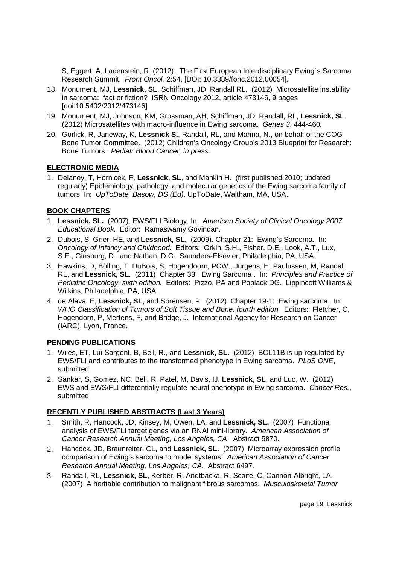S, Eggert, A, Ladenstein, R. (2012). The First European Interdisciplinary Ewing´s Sarcoma Research Summit. Front Oncol. 2:54. [DOI: 10.3389/fonc.2012.00054].

- 18. Monument, MJ, **Lessnick, SL**, Schiffman, JD, Randall RL. (2012) Microsatellite instability in sarcoma: fact or fiction? ISRN Oncology 2012, article 473146, 9 pages [doi:10.5402/2012/473146]
- 19. Monument, MJ, Johnson, KM, Grossman, AH, Schiffman, JD, Randall, RL, **Lessnick, SL**. (2012) Microsatellites with macro-influence in Ewing sarcoma. Genes 3, 444-460.
- 20. Gorlick, R, Janeway, K, **Lessnick S.**, Randall, RL, and Marina, N., on behalf of the COG Bone Tumor Committee. (2012) Children's Oncology Group's 2013 Blueprint for Research: Bone Tumors. Pediatr Blood Cancer, in press.

### **ELECTRONIC MEDIA**

1. Delaney, T, Hornicek, F, **Lessnick, SL**, and Mankin H. (first published 2010; updated regularly) Epidemiology, pathology, and molecular genetics of the Ewing sarcoma family of tumors. In: UpToDate, Basow, DS (Ed). UpToDate, Waltham, MA, USA.

### **BOOK CHAPTERS**

- 1. **Lessnick, SL.** (2007). EWS/FLI Biology. In: American Society of Clinical Oncology 2007 Educational Book. Editor: Ramaswamy Govindan.
- 2. Dubois, S, Grier, HE, and **Lessnick, SL.** (2009). Chapter 21: Ewing's Sarcoma. In: Oncology of Infancy and Childhood. Editors: Orkin, S.H., Fisher, D.E., Look, A.T., Lux, S.E., Ginsburg, D., and Nathan, D.G. Saunders-Elsevier, Philadelphia, PA, USA.
- 3. Hawkins, D, Bölling, T, DuBois, S, Hogendoorn, PCW., Jürgens, H, Paulussen, M, Randall, RL, and **Lessnick, SL**. (2011) Chapter 33: Ewing Sarcoma . In: Principles and Practice of Pediatric Oncology, sixth edition. Editors: Pizzo, PA and Poplack DG. Lippincott Williams & Wilkins, Philadelphia, PA, USA.
- 4. de Alava, E, **Lessnick, SL**, and Sorensen, P. (2012) Chapter 19-1: Ewing sarcoma. In: WHO Classification of Tumors of Soft Tissue and Bone, fourth edition. Editors: Fletcher, C, Hogendorn, P, Mertens, F, and Bridge, J. International Agency for Research on Cancer (IARC), Lyon, France.

## **PENDING PUBLICATIONS**

- 1. Wiles, ET, Lui-Sargent, B, Bell, R., and **Lessnick, SL.** (2012) BCL11B is up-regulated by EWS/FLI and contributes to the transformed phenotype in Ewing sarcoma. PLoS ONE, submitted.
- 2. Sankar, S, Gomez, NC, Bell, R, Patel, M, Davis, IJ, **Lessnick, SL**, and Luo, W. (2012) EWS and EWS/FLI differentially regulate neural phenotype in Ewing sarcoma. Cancer Res., submitted.

## **RECENTLY PUBLISHED ABSTRACTS (Last 3 Years)**

- 1. Smith, R, Hancock, JD, Kinsey, M, Owen, LA, and **Lessnick, SL.** (2007) Functional analysis of EWS/FLI target genes via an RNAi mini-library. American Association of Cancer Research Annual Meeting, Los Angeles, CA. Abstract 5870.
- 2. Hancock, JD, Braunreiter, CL, and **Lessnick, SL.** (2007) Microarray expression profile comparison of Ewing's sarcoma to model systems. American Association of Cancer Research Annual Meeting, Los Angeles, CA. Abstract 6497.
- 3. Randall, RL, **Lessnick, SL**, Kerber, R, Andtbacka, R, Scaife, C, Cannon-Albright, LA. (2007) A heritable contribution to malignant fibrous sarcomas. Musculoskeletal Tumor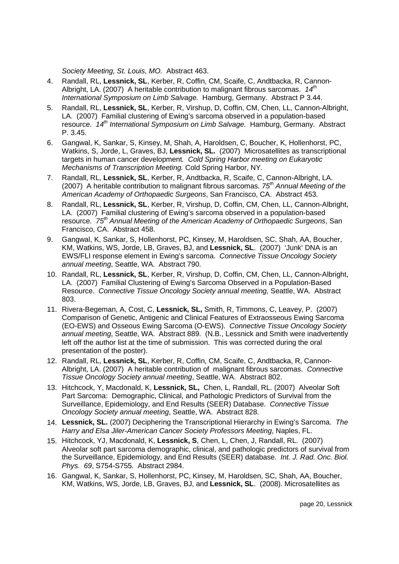Society Meeting, St. Louis, MO. Abstract 463.

- 4. Randall, RL, **Lessnick, SL**, Kerber, R, Coffin, CM, Scaife, C, Andtbacka, R, Cannon-Albright, LA. (2007) A heritable contribution to malignant fibrous sarcomas.  $14<sup>th</sup>$ International Symposium on Limb Salvage. Hamburg, Germany. Abstract P 3.44.
- 5. Randall, RL, **Lessnick, SL**, Kerber, R, Virshup, D, Coffin, CM, Chen, LL, Cannon-Albright, LA. (2007) Familial clustering of Ewing's sarcoma observed in a population-based resource. 14<sup>th</sup> International Symposium on Limb Salvage. Hamburg, Germany. Abstract P. 3.45.
- 6. Gangwal, K, Sankar, S, Kinsey, M, Shah, A, Haroldsen, C, Boucher, K, Hollenhorst, PC, Watkins, S, Jorde, L, Graves, BJ, **Lessnick, SL.** (2007) Microsatellites as transcriptional targets in human cancer development. Cold Spring Harbor meeting on Eukaryotic Mechanisms of Transcription Meeting. Cold Spring Harbor, NY.
- 7. Randall, RL, **Lessnick, SL**, Kerber, R, Andtbacka, R, Scaife, C, Cannon-Albright, LA. (2007) A heritable contribution to malignant fibrous sarcomas.  $75<sup>th</sup>$  Annual Meeting of the American Academy of Orthopaedic Surgeons, San Francisco, CA. Abstract 453.
- 8. Randall, RL, **Lessnick, SL**, Kerber, R, Virshup, D, Coffin, CM, Chen, LL, Cannon-Albright, LA. (2007) Familial clustering of Ewing's sarcoma observed in a population-based resource. 75<sup>th</sup> Annual Meeting of the American Academy of Orthopaedic Surgeons, San Francisco, CA. Abstract 458.
- 9. Gangwal, K, Sankar, S, Hollenhorst, PC, Kinsey, M, Haroldsen, SC, Shah, AA, Boucher, KM, Watkins, WS, Jorde, LB, Graves, BJ, and **Lessnick, SL**. (2007) 'Junk' DNA is an EWS/FLI response element in Ewing's sarcoma. Connective Tissue Oncology Society annual meeting, Seattle, WA. Abstract 790.
- 10. Randall, RL, **Lessnick, SL**, Kerber, R, Virshup, D, Coffin, CM, Chen, LL, Cannon-Albright, LA. (2007) Familial Clustering of Ewing's Sarcoma Observed in a Population-Based Resource. Connective Tissue Oncology Society annual meeting, Seattle, WA. Abstract 803.
- 11. Rivera-Begeman, A, Cost, C, **Lessnick, SL,** Smith, R, Timmons, C, Leavey, P. (2007) Comparison of Genetic, Antigenic and Clinical Features of Extraosseous Ewing Sarcoma (EO-EWS) and Osseous Ewing Sarcoma (O-EWS). Connective Tissue Oncology Society annual meeting, Seattle, WA. Abstract 889. (N.B., Lessnick and Smith were inadvertently left off the author list at the time of submission. This was corrected during the oral presentation of the poster).
- 12. Randall, RL, **Lessnick, SL**, Kerber, R, Coffin, CM, Scaife, C, Andtbacka, R, Cannon-Albright, LA. (2007) A heritable contribution of malignant fibrous sarcomas. Connective Tissue Oncology Society annual meeting, Seattle, WA. Abstract 802.
- 13. Hitchcock, Y, Macdonald, K, **Lessnick, SL,** Chen, L, Randall, RL. (2007) Alveolar Soft Part Sarcoma: Demographic, Clinical, and Pathologic Predictors of Survival from the Surveillance, Epidemiology, and End Results (SEER) Database. Connective Tissue Oncology Society annual meeting, Seattle, WA. Abstract 828.
- 14. **Lessnick, SL.** (2007) Deciphering the Transcriptional Hierarchy in Ewing's Sarcoma. The Harry and Elsa Jiler-American Cancer Society Professors Meeting, Naples, FL.
- 15. Hitchcock, YJ, Macdonald, K, **Lessnick, S**, Chen, L, Chen, J, Randall, RL. (2007) Alveolar soft part sarcoma demographic, clinical, and pathologic predictors of survival from the Surveillance, Epidemiology, and End Results (SEER) database. Int. J. Rad. Onc. Biol. Phys. 69, S754-S755. Abstract 2984.
- 16. Gangwal, K, Sankar, S, Hollenhorst, PC, Kinsey, M, Haroldsen, SC, Shah, AA, Boucher, KM, Watkins, WS, Jorde, LB, Graves, BJ, and **Lessnick, SL**. (2008). Microsatellites as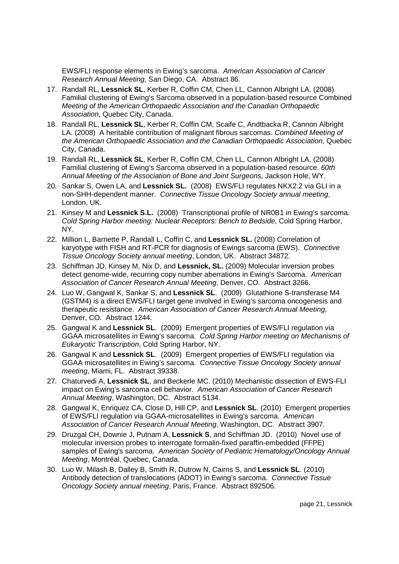EWS/FLI response elements in Ewing's sarcoma. American Association of Cancer Research Annual Meeting, San Diego, CA. Abstract 86.

- 17. Randall RL, **Lessnick SL**, Kerber R, Coffin CM, Chen LL, Cannon Albright LA. (2008) Familial clustering of Ewing's Sarcoma observed in a population-based resource Combined Meeting of the American Orthopaedic Association and the Canadian Orthopaedic Association, Quebec City, Canada.
- 18. Randall RL, **Lessnick SL**, Kerber R, Coffin CM, Scaife C, Andtbacka R, Cannon Albright LA. (2008) A heritable contribution of malignant fibrous sarcomas. Combined Meeting of the American Orthopaedic Association and the Canadian Orthopaedic Association, Quebec City, Canada.
- 19. Randall RL, **Lessnick SL**, Kerber R, Coffin CM, Chen LL, Cannon Albright LA. (2008) Familial clustering of Ewing's Sarcoma observed in a population-based resource. 60th Annual Meeting of the Association of Bone and Joint Surgeons, Jackson Hole, WY.
- 20. Sankar S, Owen LA, and **Lessnick SL.** (2008) EWS/FLI regulates NKX2.2 via GLI in a non-SHH-dependent manner. Connective Tissue Oncology Society annual meeting, London, UK.
- 21. Kinsey M and **Lessnick S.L.** (2008) Transcriptional profile of NR0B1 in Ewing's sarcoma. Cold Spring Harbor meeting: Nuclear Receptors: Bench to Bedside, Cold Spring Harbor, NY.
- 22. Million L, Barnette P, Randall L, Coffin C, and **Lessnick SL.** (2008) Correlation of karyotype with FISH and RT-PCR for diagnosis of Ewings sarcoma (EWS). Connective Tissue Oncology Society annual meeting, London, UK. Abstract 34872.
- 23. Schiffman JD, Kinsey M, Nix D, and **Lessnick, SL.** (2009) Molecular inversion probes detect genome-wide, recurring copy number aberrations in Ewing's Sarcoma. American Association of Cancer Research Annual Meeting, Denver, CO. Abstract 3266.
- 24. Luo W, Gangwal K, Sankar S, and **Lessnick SL**. (2009) Glutathione S-transferase M4 (GSTM4) is a direct EWS/FLI target gene involved in Ewing's sarcoma oncogenesis and therapeutic resistance. American Association of Cancer Research Annual Meeting, Denver, CO. Abstract 1244.
- 25. Gangwal K and **Lessnick SL**. (2009) Emergent properties of EWS/FLI regulation via GGAA microsatellites in Ewing's sarcoma. Cold Spring Harbor meeting on Mechanisms of Eukaryotic Transcription, Cold Spring Harbor, NY.
- 26. Gangwal K and **Lessnick SL**. (2009) Emergent properties of EWS/FLI regulation via GGAA microsatellites in Ewing's sarcoma. Connective Tissue Oncology Society annual meeting, Miami, FL. Abstract 39338.
- 27. Chaturvedi A, **Lessnick SL**, and Beckerle MC. (2010) Mechanistic dissection of EWS-FLI impact on Ewing's sarcoma cell behavior. American Association of Cancer Research Annual Meeting, Washington, DC. Abstract 5134.
- 28. Gangwal K, Enriquez CA, Close D, Hill CP, and **Lessnick SL**. (2010) Emergent properties of EWS/FLI regulation via GGAA-microsatellites in Ewing's sarcoma. American Association of Cancer Research Annual Meeting, Washington, DC. Abstract 3907.
- 29. Druzgal CH, Downie J, Putnam A, **Lessnick S**, and Schiffman JD. (2010) Novel use of molecular inversion probes to interrogate formalin-fixed paraffin-embedded (FFPE) samples of Ewing's sarcoma. American Society of Pediatric Hematology/Oncology Annual Meeting, Montréal, Quebec, Canada.
- 30. Luo W, Milash B, Dalley B, Smith R, Dutrow N, Cairns S, and **Lessnick SL**. (2010) Antibody detection of translocations (ADOT) in Ewing's sarcoma. Connective Tissue Oncology Society annual meeting, Paris, France. Abstract 892506.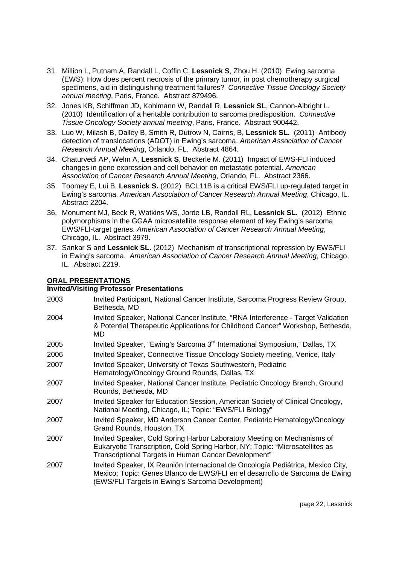- 31. Million L, Putnam A, Randall L, Coffin C, **Lessnick S**, Zhou H. (2010) Ewing sarcoma (EWS): How does percent necrosis of the primary tumor, in post chemotherapy surgical specimens, aid in distinguishing treatment failures? Connective Tissue Oncology Society annual meeting, Paris, France. Abstract 879496.
- 32. Jones KB, Schiffman JD, Kohlmann W, Randall R, **Lessnick SL**, Cannon-Albright L. (2010) Identification of a heritable contribution to sarcoma predisposition. Connective Tissue Oncology Society annual meeting, Paris, France. Abstract 900442.
- 33. Luo W, Milash B, Dalley B, Smith R, Dutrow N, Cairns, B, **Lessnick SL.** (2011) Antibody detection of translocations (ADOT) in Ewing's sarcoma. American Association of Cancer Research Annual Meeting, Orlando, FL. Abstract 4864.
- 34. Chaturvedi AP, Welm A, **Lessnick S**, Beckerle M. (2011) Impact of EWS-FLI induced changes in gene expression and cell behavior on metastatic potential. American Association of Cancer Research Annual Meeting, Orlando, FL. Abstract 2366.
- 35. Toomey E, Lui B, **Lessnick S.** (2012) BCL11B is a critical EWS/FLI up-regulated target in Ewing's sarcoma. American Association of Cancer Research Annual Meeting, Chicago, IL. Abstract 2204.
- 36. Monument MJ, Beck R, Watkins WS, Jorde LB, Randall RL, **Lessnick SL.** (2012) Ethnic polymorphisms in the GGAA microsatellite response element of key Ewing's sarcoma EWS/FLI-target genes. American Association of Cancer Research Annual Meeting, Chicago, IL. Abstract 3979.
- 37. Sankar S and **Lessnick SL.** (2012) Mechanism of transcriptional repression by EWS/FLI in Ewing's sarcoma. American Association of Cancer Research Annual Meeting, Chicago, IL. Abstract 2219.

#### **ORAL PRESENTATIONS**

#### **Invited/Visiting Professor Presentations**

2003 Invited Participant, National Cancer Institute, Sarcoma Progress Review Group, Bethesda, MD 2004 Invited Speaker, National Cancer Institute, "RNA Interference - Target Validation & Potential Therapeutic Applications for Childhood Cancer" Workshop, Bethesda, MD 2005 Invited Speaker, "Ewing's Sarcoma 3<sup>rd</sup> International Symposium," Dallas, TX 2006 Invited Speaker, Connective Tissue Oncology Society meeting, Venice, Italy 2007 Invited Speaker, University of Texas Southwestern, Pediatric Hematology/Oncology Ground Rounds, Dallas, TX 2007 Invited Speaker, National Cancer Institute, Pediatric Oncology Branch, Ground Rounds, Bethesda, MD 2007 Invited Speaker for Education Session, American Society of Clinical Oncology, National Meeting, Chicago, IL; Topic: "EWS/FLI Biology" 2007 Invited Speaker, MD Anderson Cancer Center, Pediatric Hematology/Oncology Grand Rounds, Houston, TX 2007 Invited Speaker, Cold Spring Harbor Laboratory Meeting on Mechanisms of Eukaryotic Transcription, Cold Spring Harbor, NY; Topic: "Microsatellites as Transcriptional Targets in Human Cancer Development" 2007 Invited Speaker, IX Reunión Internacional de Oncología Pediátrica, Mexico City, Mexico; Topic: Genes Blanco de EWS/FLI en el desarrollo de Sarcoma de Ewing (EWS/FLI Targets in Ewing's Sarcoma Development)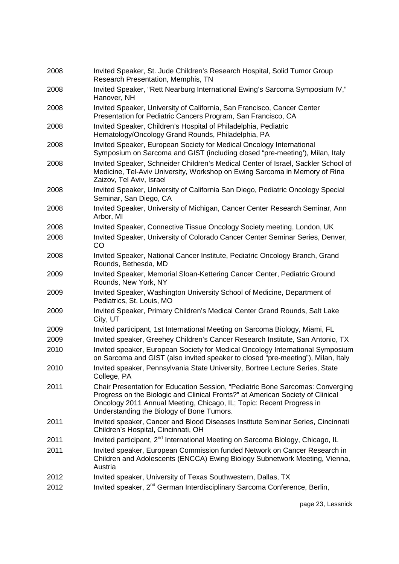| 2008 | Invited Speaker, St. Jude Children's Research Hospital, Solid Tumor Group<br>Research Presentation, Memphis, TN                                                                                                                                                                       |
|------|---------------------------------------------------------------------------------------------------------------------------------------------------------------------------------------------------------------------------------------------------------------------------------------|
| 2008 | Invited Speaker, "Rett Nearburg International Ewing's Sarcoma Symposium IV,"<br>Hanover, NH                                                                                                                                                                                           |
| 2008 | Invited Speaker, University of California, San Francisco, Cancer Center<br>Presentation for Pediatric Cancers Program, San Francisco, CA                                                                                                                                              |
| 2008 | Invited Speaker, Children's Hospital of Philadelphia, Pediatric<br>Hematology/Oncology Grand Rounds, Philadelphia, PA                                                                                                                                                                 |
| 2008 | Invited Speaker, European Society for Medical Oncology International<br>Symposium on Sarcoma and GIST (including closed "pre-meeting'), Milan, Italy                                                                                                                                  |
| 2008 | Invited Speaker, Schneider Children's Medical Center of Israel, Sackler School of<br>Medicine, Tel-Aviv University, Workshop on Ewing Sarcoma in Memory of Rina<br>Zaizov, Tel Aviv, Israel                                                                                           |
| 2008 | Invited Speaker, University of California San Diego, Pediatric Oncology Special<br>Seminar, San Diego, CA                                                                                                                                                                             |
| 2008 | Invited Speaker, University of Michigan, Cancer Center Research Seminar, Ann<br>Arbor, MI                                                                                                                                                                                             |
| 2008 | Invited Speaker, Connective Tissue Oncology Society meeting, London, UK                                                                                                                                                                                                               |
| 2008 | Invited Speaker, University of Colorado Cancer Center Seminar Series, Denver,<br>CO                                                                                                                                                                                                   |
| 2008 | Invited Speaker, National Cancer Institute, Pediatric Oncology Branch, Grand<br>Rounds, Bethesda, MD                                                                                                                                                                                  |
| 2009 | Invited Speaker, Memorial Sloan-Kettering Cancer Center, Pediatric Ground<br>Rounds, New York, NY                                                                                                                                                                                     |
| 2009 | Invited Speaker, Washington University School of Medicine, Department of<br>Pediatrics, St. Louis, MO                                                                                                                                                                                 |
| 2009 | Invited Speaker, Primary Children's Medical Center Grand Rounds, Salt Lake<br>City, UT                                                                                                                                                                                                |
| 2009 | Invited participant, 1st International Meeting on Sarcoma Biology, Miami, FL                                                                                                                                                                                                          |
| 2009 | Invited speaker, Greehey Children's Cancer Research Institute, San Antonio, TX                                                                                                                                                                                                        |
| 2010 | Invited speaker, European Society for Medical Oncology International Symposium<br>on Sarcoma and GIST (also invited speaker to closed "pre-meeting"), Milan, Italy                                                                                                                    |
| 2010 | Invited speaker, Pennsylvania State University, Bortree Lecture Series, State<br>College, PA                                                                                                                                                                                          |
| 2011 | Chair Presentation for Education Session, "Pediatric Bone Sarcomas: Converging<br>Progress on the Biologic and Clinical Fronts?" at American Society of Clinical<br>Oncology 2011 Annual Meeting, Chicago, IL; Topic: Recent Progress in<br>Understanding the Biology of Bone Tumors. |
| 2011 | Invited speaker, Cancer and Blood Diseases Institute Seminar Series, Cincinnati<br>Children's Hospital, Cincinnati, OH                                                                                                                                                                |
| 2011 | Invited participant, 2 <sup>nd</sup> International Meeting on Sarcoma Biology, Chicago, IL                                                                                                                                                                                            |
| 2011 | Invited speaker, European Commission funded Network on Cancer Research in<br>Children and Adolescents (ENCCA) Ewing Biology Subnetwork Meeting, Vienna,<br>Austria                                                                                                                    |
| 2012 | Invited speaker, University of Texas Southwestern, Dallas, TX                                                                                                                                                                                                                         |
| 2012 | Invited speaker, 2 <sup>nd</sup> German Interdisciplinary Sarcoma Conference, Berlin,                                                                                                                                                                                                 |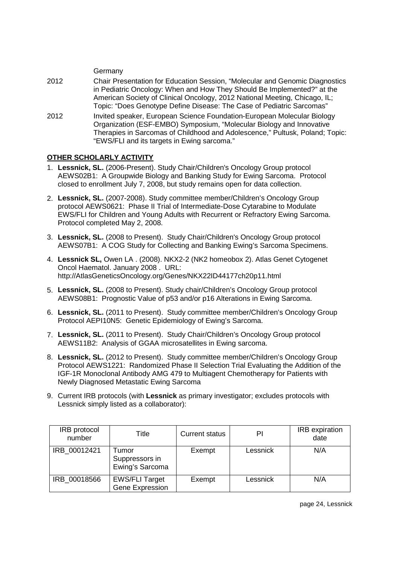|      | Germany                                                                                                                                                                                                                                                                                                        |
|------|----------------------------------------------------------------------------------------------------------------------------------------------------------------------------------------------------------------------------------------------------------------------------------------------------------------|
| 2012 | Chair Presentation for Education Session, "Molecular and Genomic Diagnostics<br>in Pediatric Oncology: When and How They Should Be Implemented?" at the<br>American Society of Clinical Oncology, 2012 National Meeting, Chicago, IL;<br>Topic: "Does Genotype Define Disease: The Case of Pediatric Sarcomas" |
| 2012 | Invited speaker, European Science Foundation-European Molecular Biology<br>Organization (ESF-EMBO) Symposium, "Molecular Biology and Innovative<br>Therapies in Sarcomas of Childhood and Adolescence," Pultusk, Poland; Topic:<br>"EWS/FLI and its targets in Ewing sarcoma."                                 |

### **OTHER SCHOLARLY ACTIVITY**

- 1. **Lessnick, SL.** (2006-Present). Study Chair/Children's Oncology Group protocol AEWS02B1: A Groupwide Biology and Banking Study for Ewing Sarcoma. Protocol closed to enrollment July 7, 2008, but study remains open for data collection.
- 2. **Lessnick, SL.** (2007-2008). Study committee member/Children's Oncology Group protocol AEWS0621: Phase II Trial of Intermediate-Dose Cytarabine to Modulate EWS/FLI for Children and Young Adults with Recurrent or Refractory Ewing Sarcoma. Protocol completed May 2, 2008.
- 3. **Lessnick, SL.** (2008 to Present). Study Chair/Children's Oncology Group protocol AEWS07B1: A COG Study for Collecting and Banking Ewing's Sarcoma Specimens.
- 4. **Lessnick SL,** Owen LA . (2008). NKX2-2 (NK2 homeobox 2). Atlas Genet Cytogenet Oncol Haematol. January 2008 . URL: http://AtlasGeneticsOncology.org/Genes/NKX22ID44177ch20p11.html
- 5. **Lessnick, SL.** (2008 to Present). Study chair/Children's Oncology Group protocol AEWS08B1: Prognostic Value of p53 and/or p16 Alterations in Ewing Sarcoma.
- 6. **Lessnick, SL.** (2011 to Present). Study committee member/Children's Oncology Group Protocol AEPI10N5: Genetic Epidemiology of Ewing's Sarcoma.
- 7. **Lessnick, SL.** (2011 to Present). Study Chair/Children's Oncology Group protocol AEWS11B2: Analysis of GGAA microsatellites in Ewing sarcoma.
- 8. **Lessnick, SL.** (2012 to Present). Study committee member/Children's Oncology Group Protocol AEWS1221: Randomized Phase II Selection Trial Evaluating the Addition of the IGF-1R Monoclonal Antibody AMG 479 to Multiagent Chemotherapy for Patients with Newly Diagnosed Metastatic Ewing Sarcoma
- 9. Current IRB protocols (with **Lessnick** as primary investigator; excludes protocols with Lessnick simply listed as a collaborator):

| <b>IRB</b> protocol<br>number | Title                                           | Current status | PI       | <b>IRB</b> expiration<br>date |
|-------------------------------|-------------------------------------------------|----------------|----------|-------------------------------|
| IRB 00012421                  | Tumor<br>Suppressors in<br>Ewing's Sarcoma      | Exempt         | Lessnick | N/A                           |
| IRB 00018566                  | <b>EWS/FLI Target</b><br><b>Gene Expression</b> | Exempt         | Lessnick | N/A                           |